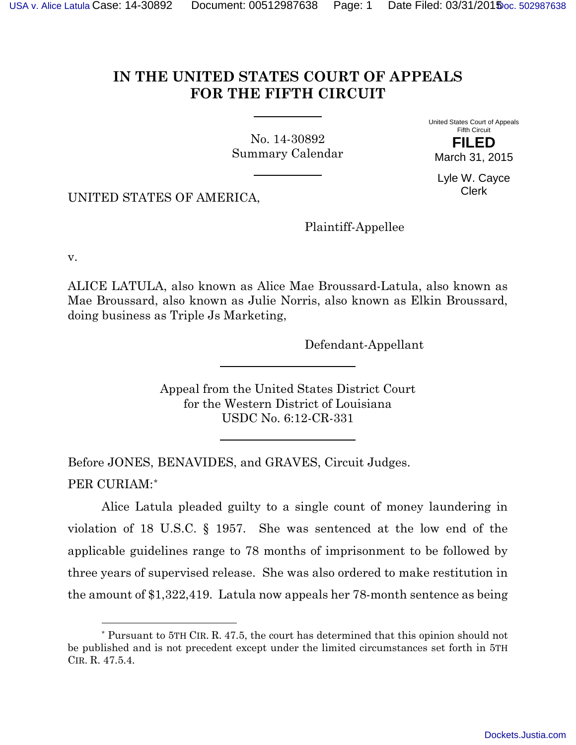## **IN THE UNITED STATES COURT OF APPEALS FOR THE FIFTH CIRCUIT**

<span id="page-0-1"></span>No. 14-30892 Summary Calendar United States Court of Appeals Fifth Circuit **FILED** March 31, 2015

Lyle W. Cayce Clerk

UNITED STATES OF AMERICA,

Plaintiff-Appellee

v.

ALICE LATULA, also known as Alice Mae Broussard-Latula, also known as Mae Broussard, also known as Julie Norris, also known as Elkin Broussard, doing business as Triple Js Marketing,

Defendant-Appellant

Appeal from the United States District Court for the Western District of Louisiana USDC No. 6:12-CR-331

Before JONES, BENAVIDES, and GRAVES, Circuit Judges. PER CURIAM:[\\*](#page-0-0)

Alice Latula pleaded guilty to a single count of money laundering in violation of 18 U.S.C. § 1957. She was sentenced at the low end of the applicable guidelines range to 78 months of imprisonment to be followed by three years of supervised release. She was also ordered to make restitution in the amount of \$1,322,419. Latula now appeals her 78-month sentence as being

<span id="page-0-0"></span><sup>\*</sup> Pursuant to 5TH CIR. R. 47.5, the court has determined that this opinion should not be published and is not precedent except under the limited circumstances set forth in 5TH CIR. R. 47.5.4. l